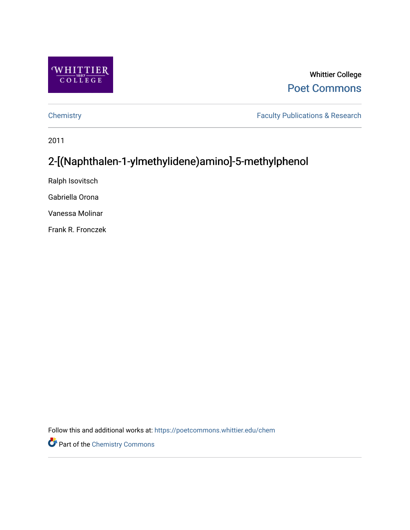

# Whittier College [Poet Commons](https://poetcommons.whittier.edu/)

[Chemistry](https://poetcommons.whittier.edu/chem) **Faculty Publications & Research** 

2011

# 2-[(Naphthalen-1-ylmethylidene)amino]-5-methylphenol

Ralph Isovitsch

Gabriella Orona

Vanessa Molinar

Frank R. Fronczek

Follow this and additional works at: [https://poetcommons.whittier.edu/chem](https://poetcommons.whittier.edu/chem?utm_source=poetcommons.whittier.edu%2Fchem%2F9&utm_medium=PDF&utm_campaign=PDFCoverPages)

Part of the [Chemistry Commons](http://network.bepress.com/hgg/discipline/131?utm_source=poetcommons.whittier.edu%2Fchem%2F9&utm_medium=PDF&utm_campaign=PDFCoverPages)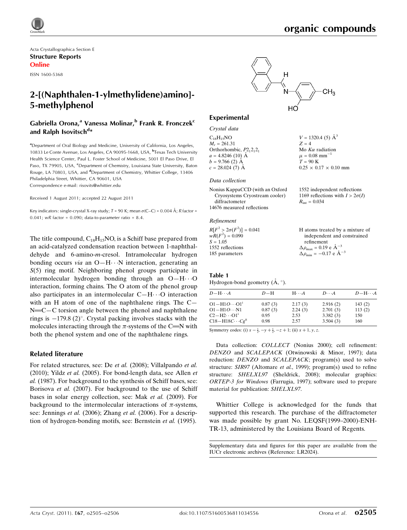$V = 1320.4$  (5)  $\AA^3$ 

Mo  $K\alpha$  radiation  $\mu = 0.08$  mm<sup>-1</sup>  $T = 90 \text{ K}$ 

 $R_{\text{int}} = 0.034$ 

 $0.25 \times 0.17 \times 0.10$  mm

1552 independent reflections 1169 reflections with  $I > 2\sigma(I)$ 

 $Z = 4$ 

Acta Crystallographica Section E Structure Reports Online

ISSN 1600-5368

# 2-[(Naphthalen-1-ylmethylidene)amino]- 5-methylphenol

### Gabriella Orona,<sup>a</sup> Vanessa Molinar,<sup>b</sup> Frank R. Fronczek<sup>c</sup> and Ralph Isovitsch<sup>d</sup>\*

<sup>a</sup>Department of Oral Biology and Medicine, University of California, Los Angeles, 10833 Le Conte Avenue, Los Angeles, CA 90095-1668, USA, <sup>b</sup>Texas Tech University Health Science Center, Paul L. Foster School of Medicine, 5001 El Paso Drive, El Paso, TX 79905, USA, <sup>c</sup>Department of Chemistry, Louisiana State University, Baton Rouge, LA 70803, USA, and <sup>d</sup>Department of Chemistry, Whittier College, 13406 Philadelphia Street, Whittier, CA 90601, USA Correspondence e-mail: [risovits@whittier.edu](https://scripts.iucr.org/cgi-bin/cr.cgi?rm=pdfbb&cnor=lr2024&bbid=BB14)

Received 1 August 2011; accepted 22 August 2011

Key indicators: single-crystal X-ray study; T = 90 K; mean  $\sigma$ (C–C) = 0.004 Å; R factor = 0.041;  $wR$  factor = 0.090; data-to-parameter ratio = 8.4.

The title compound,  $C_{18}H_{15}NO$ , is a Schiff base prepared from an acid-catalyzed condensation reaction between 1-naphthaldehyde and 6-amino-m-cresol. Intramolecular hydrogen bonding occurs via an O-H $\cdots$ N interaction, generating an S(5) ring motif. Neighboring phenol groups participate in intermolecular hydrogen bonding through an O-H $\cdots$ O interaction, forming chains. The O atom of the phenol group also participates in an intermolecular  $C-H \cdots$ O interaction with an H atom of one of the naphthalene rings. The C—  $N = C - C$  torsion angle between the phenol and naphthalene rings is  $-179.8$  (2)°. Crystal packing involves stacks with the molecules interacting through the  $\pi$ -systems of the C=N with both the phenol system and one of the naphthalene rings.

### Related literature

For related structures, see: De et al. (2008); Villalpando et al. (2010); Yildz et al. (2005). For bond-length data, see Allen et al. (1987). For background to the synthesis of Schiff bases, see: Borisova et al. (2007). For background to the use of Schiff bases in solar energy collection, see: Mak et al. (2009). For background to the intermolecular interactions of  $\pi$ -systems, see: Jennings et al. (2006); Zhang et al. (2006). For a description of hydrogen-bonding motifs, see: Bernstein et al. (1995).



### Experimental

Crystal data  $C_{18}H_{15}NO$  $M_r = 261.31$ Orthorhombic,  $P2_12_12_1$  $a = 4.8246(10)$  Å  $b = 9.766$  (2)  $\AA$  $c = 28.024(7)$  Å

#### Data collection

| Nonius KappaCCD (with an Oxford |  |
|---------------------------------|--|
| Cryosystems Cryostream cooler)  |  |
| diffractometer                  |  |
| 14676 measured reflections      |  |

## Refinement

| $R[F^2 > 2\sigma(F^2)] = 0.041$ | H atoms treated by a mixture of                      |
|---------------------------------|------------------------------------------------------|
| $wR(F^2) = 0.090$               | independent and constrained                          |
| $S = 1.05$                      | refinement                                           |
| 1552 reflections                | $\Delta \rho_{\text{max}} = 0.19 \text{ e A}^{-3}$   |
| 185 parameters                  | $\Delta \rho_{\text{min}} = -0.17$ e $\rm{\AA}^{-3}$ |

### Table 1

Hydrogen-bond geometry  $(\AA, \degree)$ .

| $D$ -H $\cdots$ A             | $D-H$   | $H \cdot \cdot \cdot A$ | $D\cdots A$ | $D - H \cdots A$ |
|-------------------------------|---------|-------------------------|-------------|------------------|
| $O1 - H1O \cdots O1^{i}$      | 0.87(3) | 2.17(3)                 | 2.916(2)    | 143(2)           |
| $O1 - H1O \cdots N1$          | 0.87(3) | 2.24(3)                 | 2.701(3)    | 113(2)           |
| $C2-H2\cdots O1$ <sup>1</sup> | 0.95    | 2.53                    | 3.382(3)    | 150              |
| $C18-H18C\cdots Cgii$         | 0.98    | 2.57                    | 3.504(3)    | 160              |

Symmetry codes: (i)  $x - \frac{1}{2}$ ,  $-y + \frac{1}{2}$ ,  $-z + 1$ ; (ii)  $x + 1$ , y, z.

Data collection: COLLECT (Nonius 2000); cell refinement: DENZO and SCALEPACK (Otwinowski & Minor, 1997); data reduction: DENZO and SCALEPACK; program(s) used to solve structure: SIR97 (Altomare et al., 1999); program(s) used to refine structure: SHELXL97 (Sheldrick, 2008); molecular graphics: ORTEP-3 for Windows (Farrugia, 1997); software used to prepare material for publication: SHELXL97.

Whittier College is acknowledged for the funds that supported this research. The purchase of the diffractometer was made possible by grant No. LEQSF(1999–2000)-ENH-TR-13, administered by the Louisiana Board of Regents.

Supplementary data and figures for this paper are available from the IUCr electronic archives (Reference: LR2024).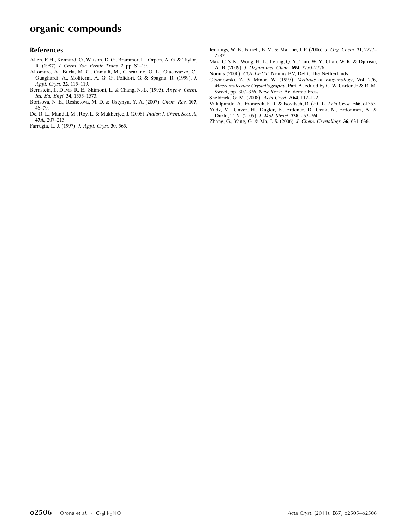### References

- [Allen, F. H., Kennard, O., Watson, D. G., Brammer, L., Orpen, A. G. & Taylor,](https://scripts.iucr.org/cgi-bin/cr.cgi?rm=pdfbb&cnor=lr2024&bbid=BB1) R. (1987). [J. Chem. Soc. Perkin Trans. 2](https://scripts.iucr.org/cgi-bin/cr.cgi?rm=pdfbb&cnor=lr2024&bbid=BB1), pp. S1–19.
- [Altomare, A., Burla, M. C., Camalli, M., Cascarano, G. L., Giacovazzo, C.,](https://scripts.iucr.org/cgi-bin/cr.cgi?rm=pdfbb&cnor=lr2024&bbid=BB2) [Guagliardi, A., Moliterni, A. G. G., Polidori, G. & Spagna, R. \(1999\).](https://scripts.iucr.org/cgi-bin/cr.cgi?rm=pdfbb&cnor=lr2024&bbid=BB2) J. [Appl. Cryst.](https://scripts.iucr.org/cgi-bin/cr.cgi?rm=pdfbb&cnor=lr2024&bbid=BB2) 32, 115–119.
- [Bernstein, J., Davis, R. E., Shimoni, L. & Chang, N.-L. \(1995\).](https://scripts.iucr.org/cgi-bin/cr.cgi?rm=pdfbb&cnor=lr2024&bbid=BB3) Angew. Chem. [Int. Ed. Engl](https://scripts.iucr.org/cgi-bin/cr.cgi?rm=pdfbb&cnor=lr2024&bbid=BB3). 34, 1555–1573.
- [Borisova, N. E., Reshetova, M. D. & Ustynyu, Y. A. \(2007\).](https://scripts.iucr.org/cgi-bin/cr.cgi?rm=pdfbb&cnor=lr2024&bbid=BB4) Chem. Rev. 107, [46–79.](https://scripts.iucr.org/cgi-bin/cr.cgi?rm=pdfbb&cnor=lr2024&bbid=BB4)
- [De, R. L., Mandal, M., Roy, L. & Mukherjee, J. \(2008\).](https://scripts.iucr.org/cgi-bin/cr.cgi?rm=pdfbb&cnor=lr2024&bbid=BB5) Indian J. Chem. Sect. A, 47A[, 207–213.](https://scripts.iucr.org/cgi-bin/cr.cgi?rm=pdfbb&cnor=lr2024&bbid=BB5)
- [Farrugia, L. J. \(1997\).](https://scripts.iucr.org/cgi-bin/cr.cgi?rm=pdfbb&cnor=lr2024&bbid=BB6) J. Appl. Cryst. 30, 565.
- [Jennings, W. B., Farrell, B. M. & Malone, J. F. \(2006\).](https://scripts.iucr.org/cgi-bin/cr.cgi?rm=pdfbb&cnor=lr2024&bbid=BB7) J. Org. Chem. 71, 2277– [2282.](https://scripts.iucr.org/cgi-bin/cr.cgi?rm=pdfbb&cnor=lr2024&bbid=BB7)
- [Mak, C. S. K., Wong, H. L., Leung, Q. Y., Tam, W. Y., Chan, W. K. & Djurisic,](https://scripts.iucr.org/cgi-bin/cr.cgi?rm=pdfbb&cnor=lr2024&bbid=BB8) A. B. (2009). [J. Organomet. Chem.](https://scripts.iucr.org/cgi-bin/cr.cgi?rm=pdfbb&cnor=lr2024&bbid=BB8) 694, 2770–2776.
- Nonius (2000). COLLECT. [Nonius BV, Delft, The Netherlands.](https://scripts.iucr.org/cgi-bin/cr.cgi?rm=pdfbb&cnor=lr2024&bbid=BB9)
- [Otwinowski, Z. & Minor, W. \(1997\).](https://scripts.iucr.org/cgi-bin/cr.cgi?rm=pdfbb&cnor=lr2024&bbid=BB10) Methods in Enzymology, Vol. 276, Macromolecular Crystallography[, Part A, edited by C. W. Carter Jr & R. M.](https://scripts.iucr.org/cgi-bin/cr.cgi?rm=pdfbb&cnor=lr2024&bbid=BB10) [Sweet, pp. 307–326. New York: Academic Press.](https://scripts.iucr.org/cgi-bin/cr.cgi?rm=pdfbb&cnor=lr2024&bbid=BB10)
- [Sheldrick, G. M. \(2008\).](https://scripts.iucr.org/cgi-bin/cr.cgi?rm=pdfbb&cnor=lr2024&bbid=BB11) Acta Cryst. A64, 112–122.
- [Villalpando, A., Fronczek, F. R. & Isovitsch, R. \(2010\).](https://scripts.iucr.org/cgi-bin/cr.cgi?rm=pdfbb&cnor=lr2024&bbid=BB12) Acta Cryst. E66, o1353. Yildz, M., Ünver, H., Dügler, B., Erdener, D., Ocak, N., Erdönmez, A. &
- [Durlu, T. N. \(2005\).](https://scripts.iucr.org/cgi-bin/cr.cgi?rm=pdfbb&cnor=lr2024&bbid=BB13) J. Mol. Struct. 738, 253–260.
- [Zhang, G., Yang, G. & Ma, J. S. \(2006\).](https://scripts.iucr.org/cgi-bin/cr.cgi?rm=pdfbb&cnor=lr2024&bbid=BB14) J. Chem. Crystallogr. 36, 631–636.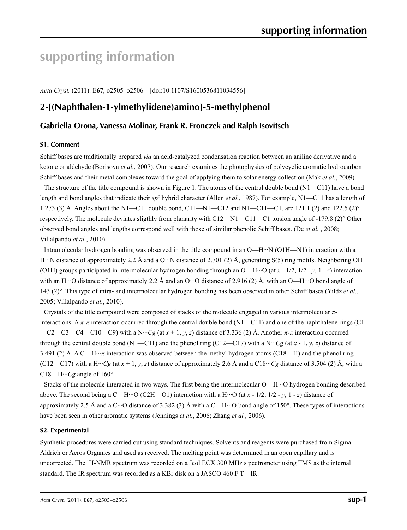# **supporting information**

*Acta Cryst.* (2011). E**67**, o2505–o2506 [doi:10.1107/S1600536811034556]

# **2-[(Naphthalen-1-ylmethylidene)amino]-5-methylphenol**

### **Gabriella Orona, Vanessa Molinar, Frank R. Fronczek and Ralph Isovitsch**

### **S1. Comment**

Schiff bases are traditionally prepared *via* an acid-catalyzed condensation reaction between an aniline derivative and a ketone or aldehyde (Borisova *et al.*, 2007). Our research examines the photophysics of polycyclic aromatic hydrocarbon Schiff bases and their metal complexes toward the goal of applying them to solar energy collection (Mak *et al.*, 2009).

The structure of the title compound is shown in Figure 1. The atoms of the central double bond (N1—C11) have a bond length and bond angles that indicate their *sp*<sup>2</sup> hybrid character (Allen *et al.*, 1987). For example, N1—C11 has a length of 1.273 (3) Å. Angles about the N1—C11 double bond, C11—N1—C12 and N1—C11—C1, are 121.1 (2) and 122.5 (2)<sup>o</sup> respectively. The molecule deviates sligthly from planarity with C12—N1—C11—C1 torsion angle of -179.8 (2)° Other observed bond angles and lengths correspond well with those of similar phenolic Schiff bases. (De *et al.* , 2008; Villalpando *et al.*, 2010).

Intramolecular hydrogen bonding was observed in the title compound in an O—H···N (O1H—N1) interaction with a H···N distance of approximately 2.2 Å and a O···N distance of 2.701 (2) Å, generating S(5) ring motifs. Neighboring OH (O1H) groups participated in intermolecular hydrogen bonding through an O—H···O (at *x* - 1/2, 1/2 - *y*, 1 - *z*) interaction with an H $\cdot\cdot\cdot$ O distance of approximately 2.2 Å and an O $\cdot\cdot\cdot$ O distance of 2.916 (2) Å, with an O—H $\cdot\cdot\cdot$ O bond angle of 143 (2)°. This type of intra- and intermolecular hydrogen bonding has been observed in other Schiff bases (Yildz *et al.*, 2005; Villalpando *et al.*, 2010).

Crystals of the title compound were composed of stacks of the molecule engaged in various intermolecular *π*interactions. A *π*-*π* interaction occurred through the central double bond (N1—C11) and one of the naphthalene rings (C1 —C2—C3—C4—C10—C9) with a N···*Cg* (at  $x + 1$ ,  $y$ ,  $z$ ) distance of 3.336 (2) Å. Another  $\pi$ - $\pi$  interaction occurred through the central double bond (N1—C11) and the phenol ring (C12—C17) with a N···*Cg* (at *x* - 1, *y*, *z*) distance of 3.491 (2) Å. A C—H $\cdots$ *π* interaction was observed between the methyl hydrogen atoms (C18—H) and the phenol ring (C12—C17) with a H···*Cg* (at  $x + 1$ ,  $y$ ,  $z$ ) distance of approximately 2.6 Å and a C18···*Cg* distance of 3.504 (2) Å, with a C18—H···*Cg* angle of  $160^\circ$ .

Stacks of the molecule interacted in two ways. The first being the intermolecular O—H···O hydrogen bonding described above. The second being a C—H···O (C2H—O1) interaction with a H···O (at  $x - 1/2$ ,  $1/2 - y$ ,  $1 - z$ ) distance of approximately 2.5 Å and a C···O distance of 3.382 (3) Å with a C—H···O bond angle of 150°. These types of interactions have been seen in other aromatic systems (Jennings *et al.*, 2006; Zhang *et al.*, 2006).

### **S2. Experimental**

Synthetic procedures were carried out using standard techniques. Solvents and reagents were purchased from Sigma-Aldrich or Acros Organics and used as received. The melting point was determined in an open capillary and is uncorrected. The 1 H-NMR spectrum was recorded on a Jeol ECX 300 MHz s pectrometer using TMS as the internal standard. The IR spectrum was recorded as a KBr disk on a JASCO 460 F T—IR.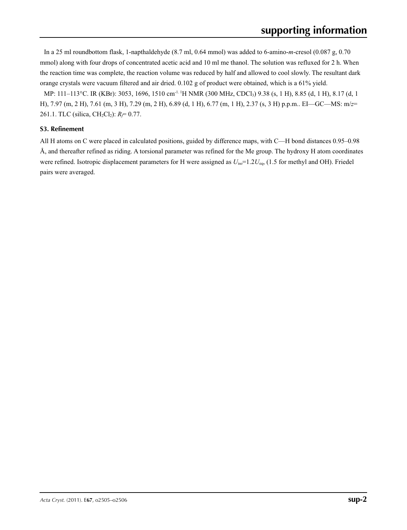In a 25 ml roundbottom flask, 1-napthaldehyde (8.7 ml, 0.64 mmol) was added to 6-amino-*m*-cresol (0.087 g, 0.70 mmol) along with four drops of concentrated acetic acid and 10 ml me thanol. The solution was refluxed for 2 h. When the reaction time was complete, the reaction volume was reduced by half and allowed to cool slowly. The resultant dark orange crystals were vacuum filtered and air dried. 0.102 g of product were obtained, which is a 61% yield.

MP: 111–113°C. IR (KBr): 3053, 1696, 1510 cm-1. 1H NMR (300 MHz, CDCl3) 9.38 (s, 1 H), 8.85 (d, 1 H), 8.17 (d, 1 H), 7.97 (m, 2 H), 7.61 (m, 3 H), 7.29 (m, 2 H), 6.89 (d, 1 H), 6.77 (m, 1 H), 2.37 (s, 3 H) p.p.m.. EI—GC—MS: m/*z*= 261.1. TLC (silica, CH<sub>2</sub>Cl<sub>2</sub>): *R<sub>f</sub>*= 0.77.

### **S3. Refinement**

All H atoms on C were placed in calculated positions, guided by difference maps, with C—H bond distances 0.95–0.98 Å, and thereafter refined as riding. A torsional parameter was refined for the Me group. The hydroxy H atom coordinates were refined. Isotropic displacement parameters for H were assigned as  $U_{\text{iso}}=1.2U_{\text{eq}}$ , (1.5 for methyl and OH). Friedel pairs were averaged.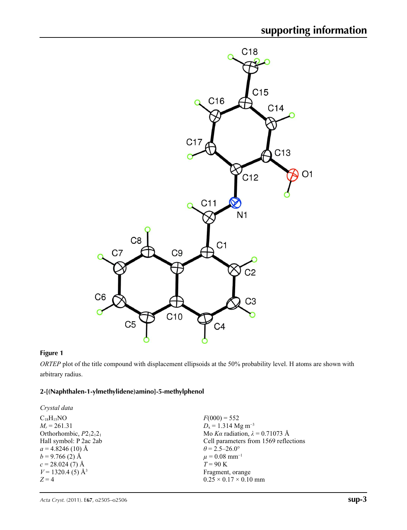

### **Figure 1**

*ORTEP* plot of the title compound with displacement ellipsoids at the 50% probability level. H atoms are shown with arbitrary radius.

### **2-[(Naphthalen-1-ylmethylidene)amino]-5-methylphenol**

| Crystal data                    |                                        |
|---------------------------------|----------------------------------------|
| $C_{18}H_{15}NO$                | $F(000) = 552$                         |
| $M_r = 261.31$                  | $D_x = 1.314$ Mg m <sup>-3</sup>       |
| Orthorhombic, $P2_12_12_1$      | Mo Ka radiation, $\lambda = 0.71073$ Å |
| Hall symbol: P 2ac 2ab          | Cell parameters from 1569 reflections  |
| $a = 4.8246(10)$ Å              | $\theta$ = 2.5–26.0°                   |
| $b = 9.766(2)$ Å                | $\mu = 0.08$ mm <sup>-1</sup>          |
| $c = 28.024(7)$ Å               | $T = 90$ K                             |
| $V = 1320.4$ (5) Å <sup>3</sup> | Fragment, orange                       |
| $Z=4$                           | $0.25 \times 0.17 \times 0.10$ mm      |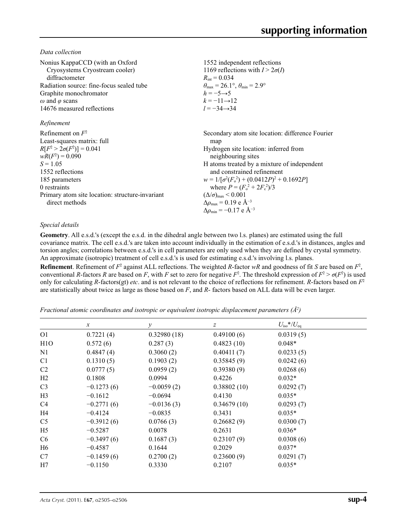*Data collection*

| Nonius KappaCCD (with an Oxford<br>Cryosystems Cryostream cooler)<br>diffractometer<br>Radiation source: fine-focus sealed tube<br>Graphite monochromator<br>$\omega$ and $\varphi$ scans<br>14676 measured reflections                            | 1552 independent reflections<br>1169 reflections with $I > 2\sigma(I)$<br>$R_{\text{int}} = 0.034$<br>$\theta_{\text{max}} = 26.1^{\circ}, \theta_{\text{min}} = 2.9^{\circ}$<br>$h = -5 \rightarrow 5$<br>$k = -11 \rightarrow 12$<br>$l = -34 \rightarrow 34$                                                                                                                                                                                                |
|----------------------------------------------------------------------------------------------------------------------------------------------------------------------------------------------------------------------------------------------------|----------------------------------------------------------------------------------------------------------------------------------------------------------------------------------------------------------------------------------------------------------------------------------------------------------------------------------------------------------------------------------------------------------------------------------------------------------------|
| Refinement                                                                                                                                                                                                                                         |                                                                                                                                                                                                                                                                                                                                                                                                                                                                |
| Refinement on $F^2$<br>Least-squares matrix: full<br>$R[F^2 > 2\sigma(F^2)] = 0.041$<br>$wR(F^2) = 0.090$<br>$S = 1.05$<br>1552 reflections<br>185 parameters<br>0 restraints<br>Primary atom site location: structure-invariant<br>direct methods | Secondary atom site location: difference Fourier<br>map<br>Hydrogen site location: inferred from<br>neighbouring sites<br>H atoms treated by a mixture of independent<br>and constrained refinement<br>$w = 1/[\sigma^2(F_0^2) + (0.0412P)^2 + 0.1692P]$<br>where $P = (F_o^2 + 2F_c^2)/3$<br>$(\Delta/\sigma)_{\text{max}}$ < 0.001<br>$\Delta\rho_{\rm max} = 0.19 \text{ e } \text{\AA}^{-3}$<br>$\Delta \rho_{\rm min} = -0.17 \text{ e } \text{\AA}^{-3}$ |

### *Special details*

**Geometry**. All e.s.d.'s (except the e.s.d. in the dihedral angle between two l.s. planes) are estimated using the full covariance matrix. The cell e.s.d.'s are taken into account individually in the estimation of e.s.d.'s in distances, angles and torsion angles; correlations between e.s.d.'s in cell parameters are only used when they are defined by crystal symmetry. An approximate (isotropic) treatment of cell e.s.d.'s is used for estimating e.s.d.'s involving l.s. planes. **Refinement**. Refinement of  $F^2$  against ALL reflections. The weighted R-factor wR and goodness of fit *S* are based on  $F^2$ , conventional *R*-factors *R* are based on *F*, with *F* set to zero for negative  $F^2$ . The threshold expression of  $F^2 > \sigma(F^2)$  is used only for calculating *R*-factors(gt) *etc*. and is not relevant to the choice of reflections for refinement. *R*-factors based on *F*<sup>2</sup> are statistically about twice as large as those based on *F*, and *R*- factors based on ALL data will be even larger.

*Fractional atomic coordinates and isotropic or equivalent isotropic displacement parameters (Å<sup>2</sup>)* 

|                  | $\mathcal{X}$ | $\mathcal{Y}$ | z           | $U_{\rm iso}$ */ $U_{\rm eq}$ |  |
|------------------|---------------|---------------|-------------|-------------------------------|--|
| O <sub>1</sub>   | 0.7221(4)     | 0.32980(18)   | 0.49100(6)  | 0.0319(5)                     |  |
| H <sub>1</sub> O | 0.572(6)      | 0.287(3)      | 0.4823(10)  | $0.048*$                      |  |
| N <sub>1</sub>   | 0.4847(4)     | 0.3060(2)     | 0.40411(7)  | 0.0233(5)                     |  |
| C <sub>1</sub>   | 0.1310(5)     | 0.1903(2)     | 0.35845(9)  | 0.0242(6)                     |  |
| C <sub>2</sub>   | 0.0777(5)     | 0.0959(2)     | 0.39380(9)  | 0.0268(6)                     |  |
| H2               | 0.1808        | 0.0994        | 0.4226      | $0.032*$                      |  |
| C <sub>3</sub>   | $-0.1273(6)$  | $-0.0059(2)$  | 0.38802(10) | 0.0292(7)                     |  |
| H <sub>3</sub>   | $-0.1612$     | $-0.0694$     | 0.4130      | $0.035*$                      |  |
| C4               | $-0.2771(6)$  | $-0.0136(3)$  | 0.34679(10) | 0.0293(7)                     |  |
| H4               | $-0.4124$     | $-0.0835$     | 0.3431      | $0.035*$                      |  |
| C <sub>5</sub>   | $-0.3912(6)$  | 0.0766(3)     | 0.26682(9)  | 0.0300(7)                     |  |
| H <sub>5</sub>   | $-0.5287$     | 0.0078        | 0.2631      | $0.036*$                      |  |
| C <sub>6</sub>   | $-0.3497(6)$  | 0.1687(3)     | 0.23107(9)  | 0.0308(6)                     |  |
| H <sub>6</sub>   | $-0.4587$     | 0.1644        | 0.2029      | $0.037*$                      |  |
| C7               | $-0.1459(6)$  | 0.2700(2)     | 0.23600(9)  | 0.0291(7)                     |  |
| H7               | $-0.1150$     | 0.3330        | 0.2107      | $0.035*$                      |  |
|                  |               |               |             |                               |  |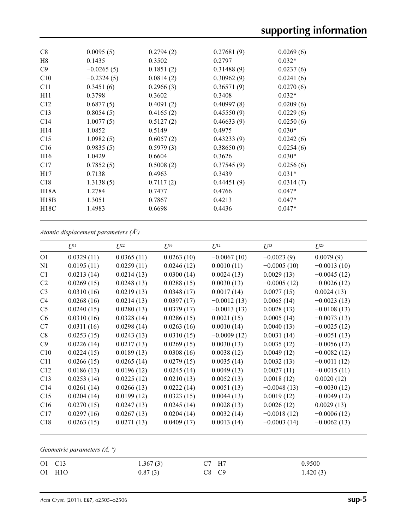| C8              | 0.0095(5)    | 0.2794(2) | 0.27681(9) | 0.0269(6) |  |
|-----------------|--------------|-----------|------------|-----------|--|
| H8              | 0.1435       | 0.3502    | 0.2797     | $0.032*$  |  |
| C9              | $-0.0265(5)$ | 0.1851(2) | 0.31488(9) | 0.0237(6) |  |
| C10             | $-0.2324(5)$ | 0.0814(2) | 0.30962(9) | 0.0241(6) |  |
| C11             | 0.3451(6)    | 0.2966(3) | 0.36571(9) | 0.0270(6) |  |
| H11             | 0.3798       | 0.3602    | 0.3408     | $0.032*$  |  |
| C12             | 0.6877(5)    | 0.4091(2) | 0.40997(8) | 0.0209(6) |  |
| C13             | 0.8054(5)    | 0.4165(2) | 0.45550(9) | 0.0229(6) |  |
| C14             | 1.0077(5)    | 0.5127(2) | 0.46633(9) | 0.0250(6) |  |
| H14             | 1.0852       | 0.5149    | 0.4975     | $0.030*$  |  |
| C15             | 1.0982(5)    | 0.6057(2) | 0.43233(9) | 0.0242(6) |  |
| C16             | 0.9835(5)    | 0.5979(3) | 0.38650(9) | 0.0254(6) |  |
| H <sub>16</sub> | 1.0429       | 0.6604    | 0.3626     | $0.030*$  |  |
| C17             | 0.7852(5)    | 0.5008(2) | 0.37545(9) | 0.0256(6) |  |
| H17             | 0.7138       | 0.4963    | 0.3439     | $0.031*$  |  |
| C18             | 1.3138(5)    | 0.7117(2) | 0.44451(9) | 0.0314(7) |  |
| H18A            | 1.2784       | 0.7477    | 0.4766     | $0.047*$  |  |
| H18B            | 1.3051       | 0.7867    | 0.4213     | $0.047*$  |  |
| H18C            | 1.4983       | 0.6698    | 0.4436     | $0.047*$  |  |
|                 |              |           |            |           |  |

*Atomic displacement parameters (Å2 )*

|                | $U^{11}$   | $U^{22}$   | $\mathcal{L}^{\beta 3}$ | $U^{12}$      | $U^{13}$      | $U^{23}$      |
|----------------|------------|------------|-------------------------|---------------|---------------|---------------|
| O <sub>1</sub> | 0.0329(11) | 0.0365(11) | 0.0263(10)              | $-0.0067(10)$ | $-0.0023(9)$  | 0.0079(9)     |
| N1             | 0.0195(11) | 0.0259(11) | 0.0246(12)              | 0.0010(11)    | $-0.0005(10)$ | $-0.0013(10)$ |
| C1             | 0.0213(14) | 0.0214(13) | 0.0300(14)              | 0.0024(13)    | 0.0029(13)    | $-0.0045(12)$ |
| C <sub>2</sub> | 0.0269(15) | 0.0248(13) | 0.0288(15)              | 0.0030(13)    | $-0.0005(12)$ | $-0.0026(12)$ |
| C <sub>3</sub> | 0.0310(16) | 0.0219(13) | 0.0348(17)              | 0.0017(14)    | 0.0077(15)    | 0.0024(13)    |
| C4             | 0.0268(16) | 0.0214(13) | 0.0397(17)              | $-0.0012(13)$ | 0.0065(14)    | $-0.0023(13)$ |
| C <sub>5</sub> | 0.0240(15) | 0.0280(13) | 0.0379(17)              | $-0.0013(13)$ | 0.0028(13)    | $-0.0108(13)$ |
| C6             | 0.0310(16) | 0.0328(14) | 0.0286(15)              | 0.0021(15)    | 0.0005(14)    | $-0.0073(13)$ |
| C7             | 0.0311(16) | 0.0298(14) | 0.0263(16)              | 0.0010(14)    | 0.0040(13)    | $-0.0025(12)$ |
| C8             | 0.0253(15) | 0.0243(13) | 0.0310(15)              | $-0.0009(12)$ | 0.0031(14)    | $-0.0051(13)$ |
| C9             | 0.0226(14) | 0.0217(13) | 0.0269(15)              | 0.0030(13)    | 0.0035(12)    | $-0.0056(12)$ |
| C10            | 0.0224(15) | 0.0189(13) | 0.0308(16)              | 0.0038(12)    | 0.0049(12)    | $-0.0082(12)$ |
| C11            | 0.0266(15) | 0.0265(14) | 0.0279(15)              | 0.0035(14)    | 0.0032(13)    | $-0.0011(12)$ |
| C12            | 0.0186(13) | 0.0196(12) | 0.0245(14)              | 0.0049(13)    | 0.0027(11)    | $-0.0015(11)$ |
| C13            | 0.0253(14) | 0.0225(12) | 0.0210(13)              | 0.0052(13)    | 0.0018(12)    | 0.0020(12)    |
| C14            | 0.0261(14) | 0.0266(13) | 0.0222(14)              | 0.0051(13)    | $-0.0048(13)$ | $-0.0030(12)$ |
| C15            | 0.0204(14) | 0.0199(12) | 0.0323(15)              | 0.0044(13)    | 0.0019(12)    | $-0.0049(12)$ |
| C16            | 0.0270(15) | 0.0247(13) | 0.0245(14)              | 0.0028(13)    | 0.0026(12)    | 0.0029(13)    |
| C17            | 0.0297(16) | 0.0267(13) | 0.0204(14)              | 0.0032(14)    | $-0.0018(12)$ | $-0.0006(12)$ |
| C18            | 0.0263(15) | 0.0271(13) | 0.0409(17)              | 0.0013(14)    | $-0.0003(14)$ | $-0.0062(13)$ |
|                |            |            |                         |               |               |               |

*Geometric parameters (Å, º)*

| $O1 - C13$ | 1.367(3) | $C7 - H7$ | 0.9500   |
|------------|----------|-----------|----------|
| $O1 - H1O$ | 0.87(3)  | $C8 - C9$ | 1.420(3) |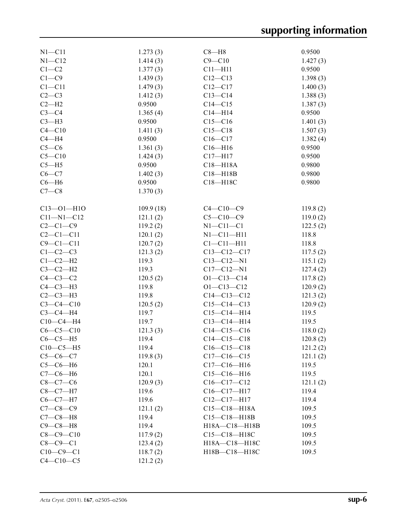| $N1 - C11$       | 1.273(3)  | $C8 - H8$          | 0.9500   |
|------------------|-----------|--------------------|----------|
| $N1 - C12$       | 1.414(3)  | $C9 - C10$         | 1.427(3) |
| $C1-C2$          | 1.377(3)  | $C11 - H11$        | 0.9500   |
| $C1 - C9$        | 1.439(3)  | $C12 - C13$        | 1.398(3) |
| $C1 - C11$       | 1.479(3)  | $C12-C17$          | 1.400(3) |
| $C2-C3$          | 1.412(3)  | $C13 - C14$        | 1.388(3) |
| $C2-H2$          | 0.9500    | $C14 - C15$        | 1.387(3) |
| $C3-C4$          | 1.365(4)  | $C14 - H14$        | 0.9500   |
| $C3-H3$          | 0.9500    | $C15 - C16$        | 1.401(3) |
| $C4 - C10$       | 1.411(3)  | $C15-C18$          | 1.507(3) |
| $C4 - H4$        | 0.9500    | $C16 - C17$        | 1.382(4) |
| $C5-C6$          | 1.361(3)  | $C16 - H16$        | 0.9500   |
| $C5 - C10$       | 1.424(3)  | $C17 - H17$        | 0.9500   |
| $C5 - H5$        | 0.9500    | $C18 - H18A$       | 0.9800   |
| $C6-C7$          | 1.402(3)  | $C18 - H18B$       | 0.9800   |
| $C6 - H6$        | 0.9500    | C18-H18C           | 0.9800   |
| $C7-C8$          | 1.370(3)  |                    |          |
|                  |           |                    |          |
| $C13 - 01 - H10$ | 109.9(18) | $C4 - C10 - C9$    | 119.8(2) |
| $C11 - N1 - C12$ | 121.1(2)  | $C5 - C10 - C9$    | 119.0(2) |
| $C2-C1-C9$       | 119.2(2)  | $N1 - C11 - C1$    | 122.5(2) |
| $C2 - C1 - C11$  | 120.1(2)  | $N1 - C11 - H11$   | 118.8    |
| $C9 - C1 - C11$  | 120.7(2)  | $Cl - Cl1 - H11$   | 118.8    |
| $C1-C2-C3$       | 121.3(2)  | $C13 - C12 - C17$  | 117.5(2) |
| $C1-C2-H2$       | 119.3     | $C13 - C12 - N1$   | 115.1(2) |
| $C3-C2-H2$       | 119.3     | $C17 - C12 - N1$   | 127.4(2) |
| $C4-C3-C2$       | 120.5(2)  | $O1 - C13 - C14$   | 117.8(2) |
| $C4-C3-H3$       | 119.8     | $O1 - C13 - C12$   | 120.9(2) |
| $C2-C3-H3$       | 119.8     | $C14 - C13 - C12$  | 121.3(2) |
| $C3 - C4 - C10$  | 120.5(2)  | $C15 - C14 - C13$  | 120.9(2) |
| $C3-C4-H4$       | 119.7     | $C15-C14-H14$      | 119.5    |
| $C10-C4-H4$      | 119.7     | $C13-C14-H14$      | 119.5    |
| $C6-C5-C10$      | 121.3(3)  | $C14 - C15 - C16$  | 118.0(2) |
| $C6-C5-H5$       | 119.4     | $C14 - C15 - C18$  | 120.8(2) |
| $C10-C5-H5$      | 119.4     | $C16-C15-C18$      | 121.2(2) |
| $C5-C6-C7$       | 119.8(3)  | $C17 - C16 - C15$  | 121.1(2) |
| $C5-C6-H6$       | 120.1     | $C17 - C16 - H16$  | 119.5    |
| $C7-C6-H6$       | 120.1     | $C15-C16-H16$      | 119.5    |
| $C8 - C7 - C6$   | 120.9(3)  | $C16-C17-C12$      | 121.1(2) |
| $C8-C7-H7$       | 119.6     | $C16-C17-H17$      | 119.4    |
| $C6-C7-H7$       | 119.6     | $C12-C17-H17$      | 119.4    |
| $C7 - C8 - C9$   | 121.1(2)  | $C15 - C18 - H18A$ | 109.5    |
| $C7-C8-H8$       | 119.4     | $C15 - C18 - H18B$ | 109.5    |
| $C9-C8-H8$       | 119.4     | H18A-C18-H18B      | 109.5    |
| $C8 - C9 - C10$  | 117.9(2)  | C15-C18-H18C       | 109.5    |
| $C8-C9-C1$       | 123.4(2)  | H18A-C18-H18C      | 109.5    |
| $C10 - C9 - C1$  | 118.7(2)  | H18B-C18-H18C      | 109.5    |
| $C4 - C10 - C5$  | 121.2(2)  |                    |          |
|                  |           |                    |          |